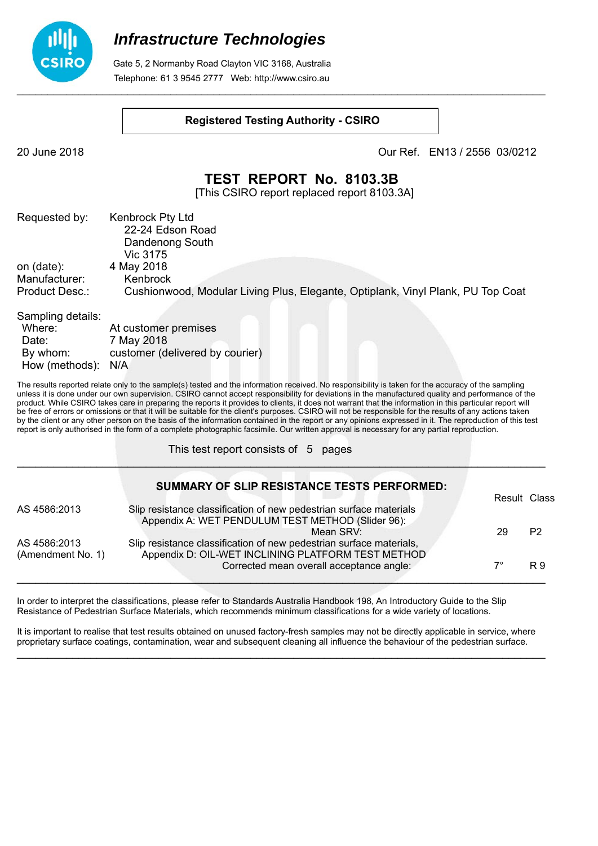

 Gate 5, 2 Normanby Road Clayton VIC 3168, Australia Telephone: 61 3 9545 2777 Web: http://www.csiro.au

#### **Registered Testing Authority - CSIRO**

20 June 2018 Our Ref. EN13 / 2556 03/0212

### **TEST REPORT No. 8103.3B**

[This CSIRO report replaced report 8103.3A]

| Requested by:     | <b>Kenbrock Pty Ltd</b><br>22-24 Edson Road<br>Dandenong South                  |
|-------------------|---------------------------------------------------------------------------------|
| on (date):        | Vic 3175<br>4 May 2018                                                          |
| Manufacturer:     | Kenbrock                                                                        |
| Product Desc.:    | Cushionwood, Modular Living Plus, Elegante, Optiplank, Vinyl Plank, PU Top Coat |
| Sampling details: |                                                                                 |

| At customer premises            |
|---------------------------------|
| 7 May 2018                      |
| customer (delivered by courier) |
| How (methods): N/A              |
|                                 |

The results reported relate only to the sample(s) tested and the information received. No responsibility is taken for the accuracy of the sampling unless it is done under our own supervision. CSIRO cannot accept responsibility for deviations in the manufactured quality and performance of the product. While CSIRO takes care in preparing the reports it provides to clients, it does not warrant that the information in this particular report will be free of errors or omissions or that it will be suitable for the client's purposes. CSIRO will not be responsible for the results of any actions taken by the client or any other person on the basis of the information contained in the report or any opinions expressed in it. The reproduction of this test report is only authorised in the form of a complete photographic facsimile. Our written approval is necessary for any partial reproduction.

 $\mathcal{L}_\mathcal{L} = \mathcal{L}_\mathcal{L} = \mathcal{L}_\mathcal{L} = \mathcal{L}_\mathcal{L} = \mathcal{L}_\mathcal{L} = \mathcal{L}_\mathcal{L} = \mathcal{L}_\mathcal{L} = \mathcal{L}_\mathcal{L} = \mathcal{L}_\mathcal{L} = \mathcal{L}_\mathcal{L} = \mathcal{L}_\mathcal{L} = \mathcal{L}_\mathcal{L} = \mathcal{L}_\mathcal{L} = \mathcal{L}_\mathcal{L} = \mathcal{L}_\mathcal{L} = \mathcal{L}_\mathcal{L} = \mathcal{L}_\mathcal{L}$ 

This test report consists of 5 pages

|                   | <b>SUMMARY OF SLIP RESISTANCE TESTS PERFORMED:</b>                  | Result Class |                |
|-------------------|---------------------------------------------------------------------|--------------|----------------|
|                   |                                                                     |              |                |
| AS 4586:2013      | Slip resistance classification of new pedestrian surface materials  |              |                |
|                   | Appendix A: WET PENDULUM TEST METHOD (Slider 96):                   |              |                |
|                   | Mean SRV:                                                           | 29           | P <sub>2</sub> |
|                   |                                                                     |              |                |
| AS 4586:2013      | Slip resistance classification of new pedestrian surface materials, |              |                |
| (Amendment No. 1) | Appendix D: OIL-WET INCLINING PLATFORM TEST METHOD                  |              |                |
|                   | Corrected mean overall acceptance angle:                            | 7°           | R 9            |
|                   |                                                                     |              |                |
|                   |                                                                     |              |                |

In order to interpret the classifications, please refer to Standards Australia Handbook 198, An Introductory Guide to the Slip Resistance of Pedestrian Surface Materials, which recommends minimum classifications for a wide variety of locations.

It is important to realise that test results obtained on unused factory-fresh samples may not be directly applicable in service, where proprietary surface coatings, contamination, wear and subsequent cleaning all influence the behaviour of the pedestrian surface.  $\mathcal{L}_\mathcal{L} = \mathcal{L}_\mathcal{L} = \mathcal{L}_\mathcal{L} = \mathcal{L}_\mathcal{L} = \mathcal{L}_\mathcal{L} = \mathcal{L}_\mathcal{L} = \mathcal{L}_\mathcal{L} = \mathcal{L}_\mathcal{L} = \mathcal{L}_\mathcal{L} = \mathcal{L}_\mathcal{L} = \mathcal{L}_\mathcal{L} = \mathcal{L}_\mathcal{L} = \mathcal{L}_\mathcal{L} = \mathcal{L}_\mathcal{L} = \mathcal{L}_\mathcal{L} = \mathcal{L}_\mathcal{L} = \mathcal{L}_\mathcal{L}$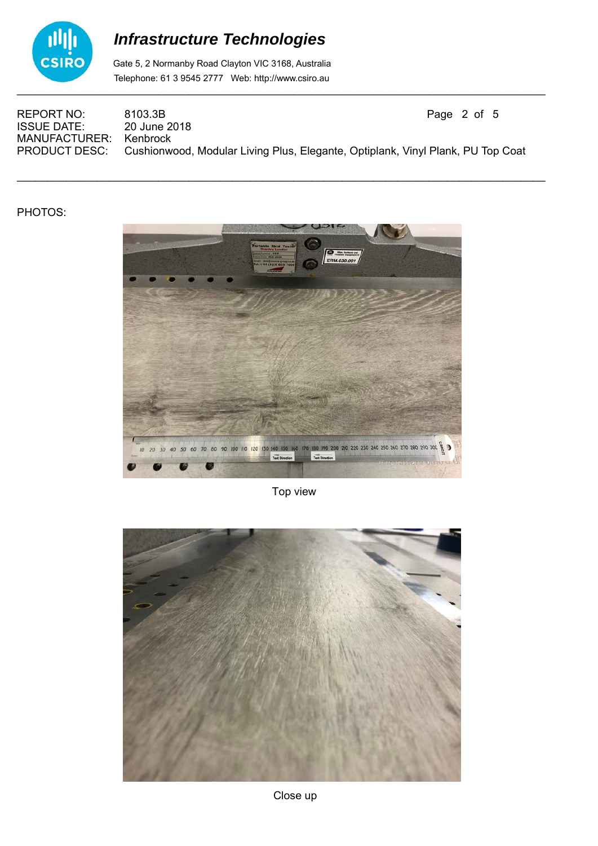

 Gate 5, 2 Normanby Road Clayton VIC 3168, Australia Telephone: 61 3 9545 2777 Web: http://www.csiro.au

REPORT NO: 8103.3B<br>
ISSUE DATE: 20 June 2018 **ISSUE DATE:** MANUFACTURER: Kenbrock<br>PRODUCT DESC: Cushionw Cushionwood, Modular Living Plus, Elegante, Optiplank, Vinyl Plank, PU Top Coat

 $\mathcal{L}_\mathcal{L} = \mathcal{L}_\mathcal{L} = \mathcal{L}_\mathcal{L} = \mathcal{L}_\mathcal{L} = \mathcal{L}_\mathcal{L} = \mathcal{L}_\mathcal{L} = \mathcal{L}_\mathcal{L} = \mathcal{L}_\mathcal{L} = \mathcal{L}_\mathcal{L} = \mathcal{L}_\mathcal{L} = \mathcal{L}_\mathcal{L} = \mathcal{L}_\mathcal{L} = \mathcal{L}_\mathcal{L} = \mathcal{L}_\mathcal{L} = \mathcal{L}_\mathcal{L} = \mathcal{L}_\mathcal{L} = \mathcal{L}_\mathcal{L}$ 

#### PHOTOS:



Top view

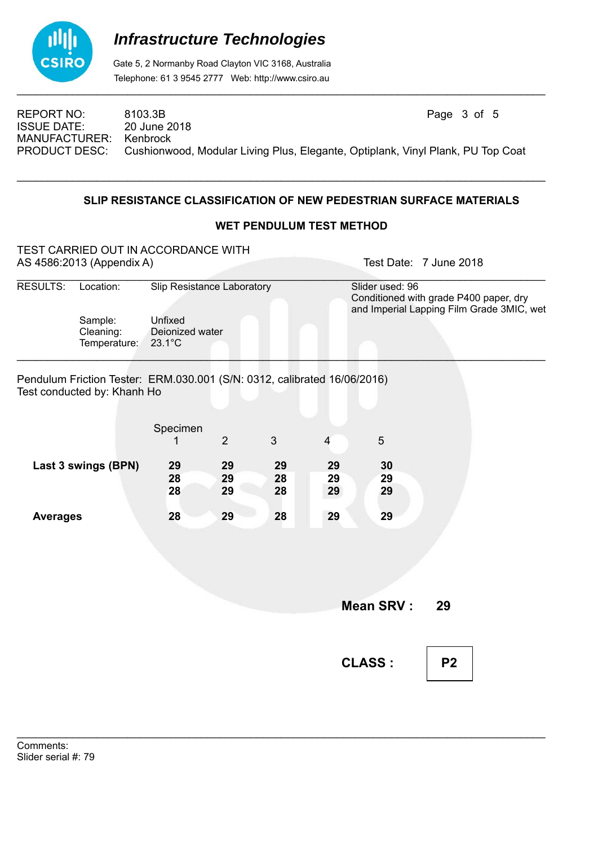

 Gate 5, 2 Normanby Road Clayton VIC 3168, Australia Telephone: 61 3 9545 2777 Web: http://www.csiro.au

REPORT NO: 8103.3B Page 3 of 5<br>
ISSUE DATE: 20 June 2018 **ISSUE DATE:** MANUFACTURER: Kenbrock PRODUCT DESC: Cushionwood, Modular Living Plus, Elegante, Optiplank, Vinyl Plank, PU Top Coat

 $\mathcal{L}_\mathcal{L} = \mathcal{L}_\mathcal{L} = \mathcal{L}_\mathcal{L} = \mathcal{L}_\mathcal{L} = \mathcal{L}_\mathcal{L} = \mathcal{L}_\mathcal{L} = \mathcal{L}_\mathcal{L} = \mathcal{L}_\mathcal{L} = \mathcal{L}_\mathcal{L} = \mathcal{L}_\mathcal{L} = \mathcal{L}_\mathcal{L} = \mathcal{L}_\mathcal{L} = \mathcal{L}_\mathcal{L} = \mathcal{L}_\mathcal{L} = \mathcal{L}_\mathcal{L} = \mathcal{L}_\mathcal{L} = \mathcal{L}_\mathcal{L}$ 

### **SLIP RESISTANCE CLASSIFICATION OF NEW PEDESTRIAN SURFACE MATERIALS**

### **WET PENDULUM TEST METHOD**

|                 | TEST CARRIED OUT IN ACCORDANCE WITH<br>AS 4586:2013 (Appendix A)                                        |                                                                              |                |    |                |                                                                                                        | Test Date: 7 June 2018 |  |
|-----------------|---------------------------------------------------------------------------------------------------------|------------------------------------------------------------------------------|----------------|----|----------------|--------------------------------------------------------------------------------------------------------|------------------------|--|
| RESULTS:        | Location:<br>Sample:<br>Cleaning:<br>Temperature:                                                       | Slip Resistance Laboratory<br>Unfixed<br>Deionized water<br>$23.1^{\circ}$ C |                |    |                | Slider used: 96<br>Conditioned with grade P400 paper, dry<br>and Imperial Lapping Film Grade 3MIC, wet |                        |  |
|                 | Pendulum Friction Tester: ERM.030.001 (S/N: 0312, calibrated 16/06/2016)<br>Test conducted by: Khanh Ho |                                                                              |                |    |                |                                                                                                        |                        |  |
|                 |                                                                                                         | Specimen                                                                     |                |    |                |                                                                                                        |                        |  |
|                 |                                                                                                         | 1                                                                            | $\overline{2}$ | 3  | $\overline{4}$ | $\overline{5}$                                                                                         |                        |  |
|                 | Last 3 swings (BPN)                                                                                     | 29                                                                           | 29             | 29 | 29             | 30                                                                                                     |                        |  |
|                 |                                                                                                         | 28                                                                           | 29             | 28 | 29             | 29                                                                                                     |                        |  |
|                 |                                                                                                         | 28                                                                           | 29             | 28 | 29             | 29                                                                                                     |                        |  |
| <b>Averages</b> |                                                                                                         | 28                                                                           | 29             | 28 | 29             | 29                                                                                                     |                        |  |
|                 |                                                                                                         |                                                                              |                |    |                |                                                                                                        |                        |  |
|                 |                                                                                                         |                                                                              |                |    |                |                                                                                                        |                        |  |
|                 |                                                                                                         |                                                                              |                |    |                |                                                                                                        |                        |  |
|                 |                                                                                                         |                                                                              |                |    |                |                                                                                                        |                        |  |
|                 |                                                                                                         |                                                                              |                |    |                | <b>Mean SRV:</b>                                                                                       | 29                     |  |
|                 |                                                                                                         |                                                                              |                |    |                |                                                                                                        |                        |  |
|                 |                                                                                                         |                                                                              |                |    |                | <b>CLASS:</b>                                                                                          | P <sub>2</sub>         |  |

\_\_\_\_\_\_\_\_\_\_\_\_\_\_\_\_\_\_\_\_\_\_\_\_\_\_\_\_\_\_\_\_\_\_\_\_\_\_\_\_\_\_\_\_\_\_\_\_\_\_\_\_\_\_\_\_\_\_\_\_\_\_\_\_\_\_\_\_\_\_\_\_\_\_\_\_\_\_\_\_\_\_\_\_\_\_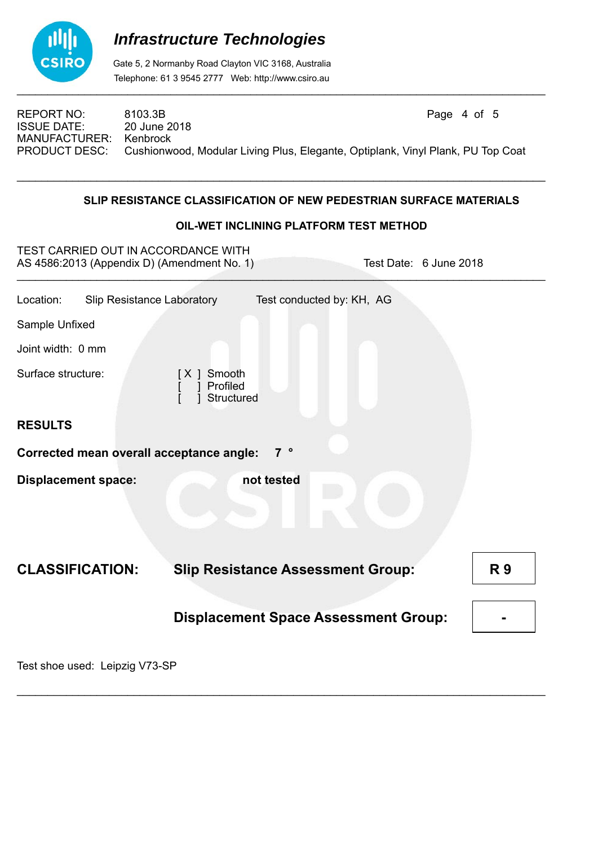

 Gate 5, 2 Normanby Road Clayton VIC 3168, Australia Telephone: 61 3 9545 2777 Web: http://www.csiro.au

REPORT NO: 8103.3B Page 4 of 5<br>
ISSUE DATE: 20 June 2018 **ISSUE DATE:** MANUFACTURER: Kenbrock<br>PRODUCT DESC: Cushionw Cushionwood, Modular Living Plus, Elegante, Optiplank, Vinyl Plank, PU Top Coat

 $\mathcal{L}_\mathcal{L} = \mathcal{L}_\mathcal{L} = \mathcal{L}_\mathcal{L} = \mathcal{L}_\mathcal{L} = \mathcal{L}_\mathcal{L} = \mathcal{L}_\mathcal{L} = \mathcal{L}_\mathcal{L} = \mathcal{L}_\mathcal{L} = \mathcal{L}_\mathcal{L} = \mathcal{L}_\mathcal{L} = \mathcal{L}_\mathcal{L} = \mathcal{L}_\mathcal{L} = \mathcal{L}_\mathcal{L} = \mathcal{L}_\mathcal{L} = \mathcal{L}_\mathcal{L} = \mathcal{L}_\mathcal{L} = \mathcal{L}_\mathcal{L}$ 

### **SLIP RESISTANCE CLASSIFICATION OF NEW PEDESTRIAN SURFACE MATERIALS**

### **OIL-WET INCLINING PLATFORM TEST METHOD**

| TEST CARRIED OUT IN ACCORDANCE WITH<br>AS 4586:2013 (Appendix D) (Amendment No. 1)<br>Test Date: 6 June 2018 |                                             |           |  |  |
|--------------------------------------------------------------------------------------------------------------|---------------------------------------------|-----------|--|--|
| <b>Slip Resistance Laboratory</b><br>Location:                                                               | Test conducted by: KH, AG                   |           |  |  |
| Sample Unfixed                                                                                               |                                             |           |  |  |
| Joint width: 0 mm                                                                                            |                                             |           |  |  |
| Surface structure:                                                                                           | Smooth<br>[X]<br>Profiled<br>Structured     |           |  |  |
| <b>RESULTS</b>                                                                                               |                                             |           |  |  |
| <b>Corrected mean overall acceptance angle:</b>                                                              | 7 <sup>°</sup>                              |           |  |  |
| <b>Displacement space:</b>                                                                                   | not tested                                  |           |  |  |
| <b>CLASSIFICATION:</b>                                                                                       | <b>Slip Resistance Assessment Group:</b>    | <b>R9</b> |  |  |
|                                                                                                              | <b>Displacement Space Assessment Group:</b> |           |  |  |

 $\mathcal{L}_\mathcal{L} = \mathcal{L}_\mathcal{L} = \mathcal{L}_\mathcal{L} = \mathcal{L}_\mathcal{L} = \mathcal{L}_\mathcal{L} = \mathcal{L}_\mathcal{L} = \mathcal{L}_\mathcal{L} = \mathcal{L}_\mathcal{L} = \mathcal{L}_\mathcal{L} = \mathcal{L}_\mathcal{L} = \mathcal{L}_\mathcal{L} = \mathcal{L}_\mathcal{L} = \mathcal{L}_\mathcal{L} = \mathcal{L}_\mathcal{L} = \mathcal{L}_\mathcal{L} = \mathcal{L}_\mathcal{L} = \mathcal{L}_\mathcal{L}$ 

Test shoe used: Leipzig V73-SP